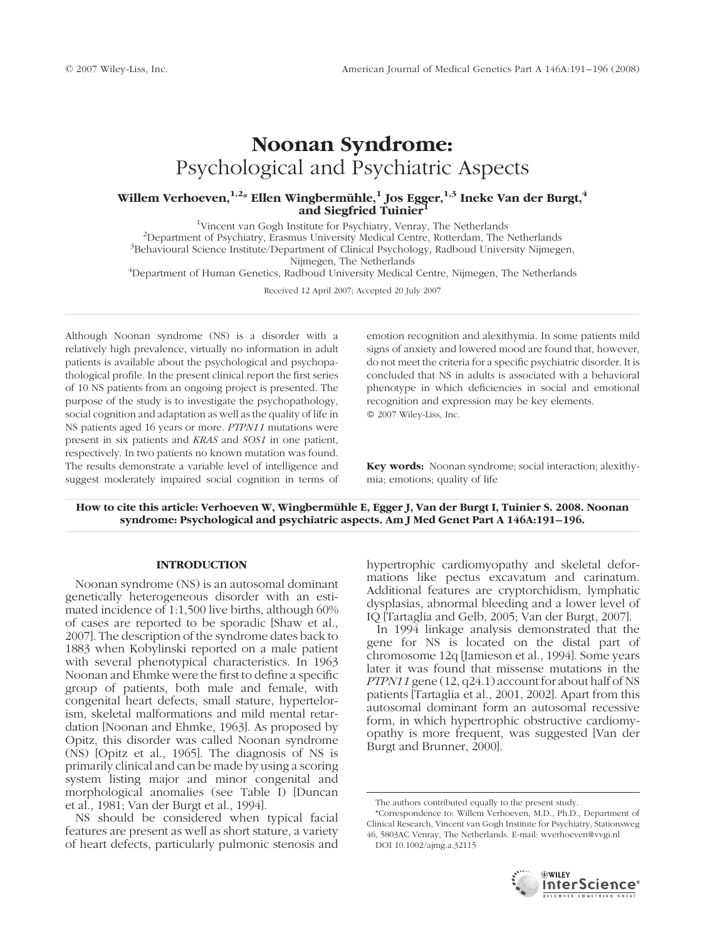# Noonan Syndrome: Psychological and Psychiatric Aspects

## Willem Verhoeven,  $^{1,2}$ \* Ellen Wingbermühle, $^1$  Jos Egger,  $^{1,3}$  Ineke Van der Burgt,  $^4$ and Siegfried Tuinier

<sup>1</sup>Vincent van Gogh Institute for Psychiatry, Venray, The Netherlands<sup>2</sup>Department of Psychiatry, Freemus University Medical Centre, Potterdam, The l  $<sup>2</sup>$ Department of Psychiatry, Erasmus University Medical Centre, Rotterdam, The Netherlands</sup>  $B^3$ Behavioural Science Institute/Department of Clinical Psychology, Radboud University Nijmegen, Nijmegen, The Netherlands Nijmegen, The Netherlands <sup>4</sup> Department of Human Genetics, Radboud University Medical Centre, Nijmegen, The Netherlands

Received 12 April 2007; Accepted 20 July 2007

Although Noonan syndrome (NS) is a disorder with a relatively high prevalence, virtually no information in adult patients is available about the psychological and psychopathological profile. In the present clinical report the first series of 10 NS patients from an ongoing project is presented. The purpose of the study is to investigate the psychopathology, social cognition and adaptation as well as the quality of life in NS patients aged 16 years or more. PTPN11 mutations were present in six patients and KRAS and SOS1 in one patient, respectively. In two patients no known mutation was found. The results demonstrate a variable level of intelligence and suggest moderately impaired social cognition in terms of emotion recognition and alexithymia. In some patients mild signs of anxiety and lowered mood are found that, however, do not meet the criteria for a specific psychiatric disorder. It is concluded that NS in adults is associated with a behavioral phenotype in which deficiencies in social and emotional recognition and expression may be key elements. 2007 Wiley-Liss, Inc.

Key words: Noonan syndrome; social interaction; alexithymia; emotions; quality of life

How to cite this article: Verhoeven W, Wingbermühle E, Egger J, Van der Burgt I, Tuinier S. 2008. Noonan syndrome: Psychological and psychiatric aspects. Am J Med Genet Part A 146A:191–196.

## INTRODUCTION

Noonan syndrome (NS) is an autosomal dominant genetically heterogeneous disorder with an estimated incidence of 1:1,500 live births, although 60% of cases are reported to be sporadic [Shaw et al., 2007]. The description of the syndrome dates back to 1883 when Kobylinski reported on a male patient with several phenotypical characteristics. In 1963 Noonan and Ehmke were the first to define a specific group of patients, both male and female, with congenital heart defects, small stature, hypertelorism, skeletal malformations and mild mental retardation [Noonan and Ehmke, 1963]. As proposed by Opitz, this disorder was called Noonan syndrome (NS) [Opitz et al., 1965]. The diagnosis of NS is primarily clinical and can be made by using a scoring system listing major and minor congenital and morphological anomalies (see Table I) [Duncan et al., 1981; Van der Burgt et al., 1994].

NS should be considered when typical facial features are present as well as short stature, a variety of heart defects, particularly pulmonic stenosis and hypertrophic cardiomyopathy and skeletal deformations like pectus excavatum and carinatum. Additional features are cryptorchidism, lymphatic dysplasias, abnormal bleeding and a lower level of IQ [Tartaglia and Gelb, 2005; Van der Burgt, 2007].

In 1994 linkage analysis demonstrated that the gene for NS is located on the distal part of chromosome 12q [Jamieson et al., 1994]. Some years later it was found that missense mutations in the *PTPN11* gene  $(12, q24.1)$  account for about half of NS patients [Tartaglia et al., 2001, 2002]. Apart from this autosomal dominant form an autosomal recessive form, in which hypertrophic obstructive cardiomyopathy is more frequent, was suggested [Van der Burgt and Brunner, 2000].

<sup>\*</sup>Correspondence to: Willem Verhoeven, M.D., Ph.D., Department of Clinical Research, Vincent van Gogh Institute for Psychiatry, Stationsweg 46, 5803AC Venray, The Netherlands. E-mail: wverhoeven@vvgi.nl DOI 10.1002/ajmg.a.32115



The authors contributed equally to the present study.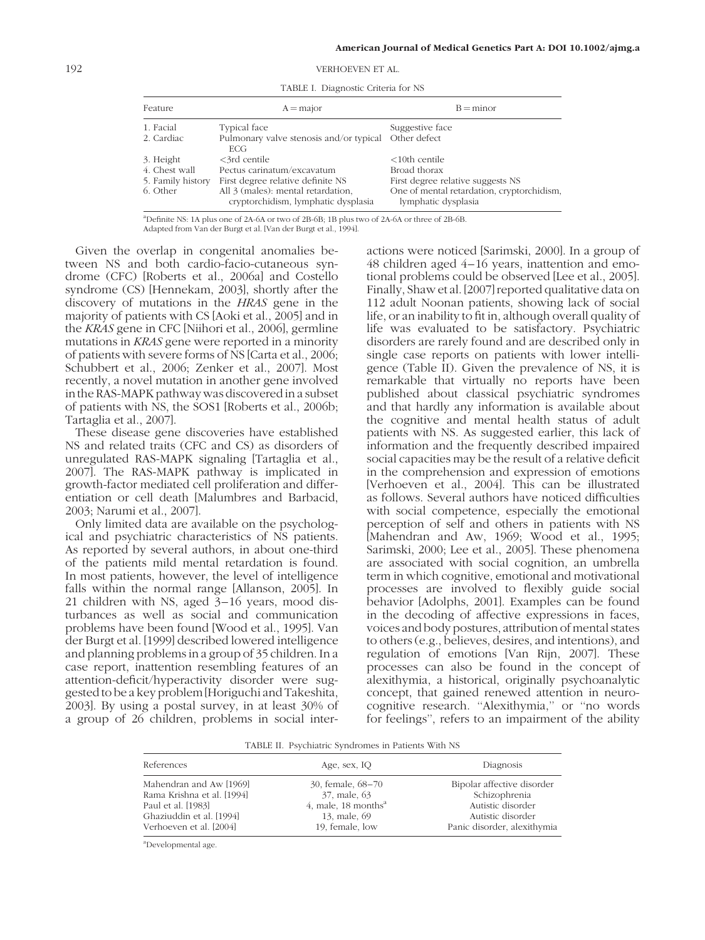192 VERHOEVEN ET AL.

| Feature           | $A = \text{major}$                                                        | $B = minor$                                                       |
|-------------------|---------------------------------------------------------------------------|-------------------------------------------------------------------|
| 1. Facial         | <b>Typical face</b>                                                       | Suggestive face                                                   |
| 2. Cardiac        | Pulmonary valve stenosis and/or typical<br>ECG.                           | Other defect                                                      |
| 3. Height         | $<$ 3rd centile                                                           | $<10$ th centile                                                  |
| 4. Chest wall     | Pectus carinatum/excavatum                                                | Broad thorax                                                      |
| 5. Family history | First degree relative definite NS                                         | First degree relative suggests NS                                 |
| 6. Other          | All 3 (males): mental retardation,<br>cryptorchidism, lymphatic dysplasia | One of mental retardation, cryptorchidism,<br>lymphatic dysplasia |

TABLE I. Diagnostic Criteria for NS

a Definite NS: 1A plus one of 2A-6A or two of 2B-6B; 1B plus two of 2A-6A or three of 2B-6B. Adapted from Van der Burgt et al. [Van der Burgt et al., 1994].

Given the overlap in congenital anomalies between NS and both cardio-facio-cutaneous syndrome (CFC) [Roberts et al., 2006a] and Costello syndrome (CS) [Hennekam, 2003], shortly after the discovery of mutations in the HRAS gene in the majority of patients with CS [Aoki et al., 2005] and in the KRAS gene in CFC [Niihori et al., 2006], germline mutations in KRAS gene were reported in a minority of patients with severe forms of NS [Carta et al., 2006; Schubbert et al., 2006; Zenker et al., 2007]. Most recently, a novel mutation in another gene involved in the RAS-MAPK pathway was discovered in a subset of patients with NS, the SOS1 [Roberts et al., 2006b; Tartaglia et al., 2007].

These disease gene discoveries have established NS and related traits (CFC and CS) as disorders of unregulated RAS-MAPK signaling [Tartaglia et al., 2007]. The RAS-MAPK pathway is implicated in growth-factor mediated cell proliferation and differentiation or cell death [Malumbres and Barbacid, 2003; Narumi et al., 2007].

Only limited data are available on the psychological and psychiatric characteristics of NS patients. As reported by several authors, in about one-third of the patients mild mental retardation is found. In most patients, however, the level of intelligence falls within the normal range [Allanson, 2005]. In 21 children with NS, aged 3–16 years, mood disturbances as well as social and communication problems have been found [Wood et al., 1995]. Van der Burgt et al. [1999] described lowered intelligence and planning problems in a group of 35 children. In a case report, inattention resembling features of an attention-deficit/hyperactivity disorder were suggestedtobeakeyproblem[HoriguchiandTakeshita, 2003]. By using a postal survey, in at least 30% of a group of 26 children, problems in social interactions were noticed [Sarimski, 2000]. In a group of 48 children aged 4–16 years, inattention and emotional problems could be observed [Lee et al., 2005]. Finally, Shaw et al. [2007] reported qualitative dataon 112 adult Noonan patients, showing lack of social life, or an inability to fit in, although overall quality of life was evaluated to be satisfactory. Psychiatric disorders are rarely found and are described only in single case reports on patients with lower intelligence (Table II). Given the prevalence of NS, it is remarkable that virtually no reports have been published about classical psychiatric syndromes and that hardly any information is available about the cognitive and mental health status of adult patients with NS. As suggested earlier, this lack of information and the frequently described impaired social capacities may be the result of a relative deficit in the comprehension and expression of emotions [Verhoeven et al., 2004]. This can be illustrated as follows. Several authors have noticed difficulties with social competence, especially the emotional perception of self and others in patients with NS [Mahendran and Aw, 1969; Wood et al., 1995; Sarimski, 2000; Lee et al., 2005]. These phenomena are associated with social cognition, an umbrella term in which cognitive, emotional and motivational processes are involved to flexibly guide social behavior [Adolphs, 2001]. Examples can be found in the decoding of affective expressions in faces, voices and body postures, attribution of mental states to others (e.g., believes, desires, and intentions), and regulation of emotions [Van Rijn, 2007]. These processes can also be found in the concept of alexithymia, a historical, originally psychoanalytic concept, that gained renewed attention in neurocognitive research. "Alexithymia," or "no words for feelings'', refers to an impairment of the ability

TABLE II. Psychiatric Syndromes in Patients With NS

| References                 | Age, sex, IO                      | Diagnosis                   |
|----------------------------|-----------------------------------|-----------------------------|
| Mahendran and Aw [1969]    | 30, female, 68–70                 | Bipolar affective disorder  |
| Rama Krishna et al. [1994] | 37, male, 63                      | Schizophrenia               |
| Paul et al. [1983]         | 4, male, $18$ months <sup>a</sup> | Autistic disorder           |
| Ghaziuddin et al. [1994]   | 13, male, 69                      | Autistic disorder           |
| Verhoeven et al. [2004]    | 19, female, low                   | Panic disorder, alexithymia |

a Developmental age.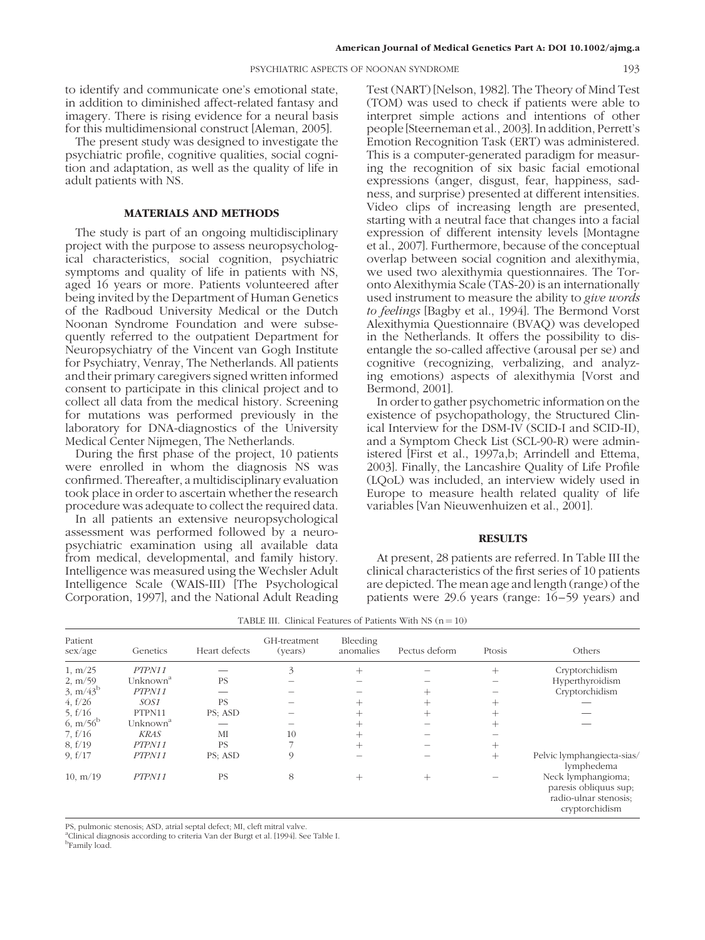to identify and communicate one's emotional state, in addition to diminished affect-related fantasy and imagery. There is rising evidence for a neural basis for this multidimensional construct [Aleman, 2005].

The present study was designed to investigate the psychiatric profile, cognitive qualities, social cognition and adaptation, as well as the quality of life in adult patients with NS.

## MATERIALS AND METHODS

The study is part of an ongoing multidisciplinary project with the purpose to assess neuropsychological characteristics, social cognition, psychiatric symptoms and quality of life in patients with NS, aged 16 years or more. Patients volunteered after being invited by the Department of Human Genetics of the Radboud University Medical or the Dutch Noonan Syndrome Foundation and were subsequently referred to the outpatient Department for Neuropsychiatry of the Vincent van Gogh Institute for Psychiatry, Venray, The Netherlands. All patients and their primary caregivers signed written informed consent to participate in this clinical project and to collect all data from the medical history. Screening for mutations was performed previously in the laboratory for DNA-diagnostics of the University Medical Center Nijmegen, The Netherlands.

During the first phase of the project, 10 patients were enrolled in whom the diagnosis NS was confirmed. Thereafter, a multidisciplinary evaluation took place in order to ascertain whether the research procedure was adequate to collect the required data.

In all patients an extensive neuropsychological assessment was performed followed by a neuropsychiatric examination using all available data from medical, developmental, and family history. Intelligence was measured using the Wechsler Adult Intelligence Scale (WAIS-III) [The Psychological Corporation, 1997], and the National Adult Reading Test (NART) [Nelson, 1982]. The Theory of Mind Test (TOM) was used to check if patients were able to interpret simple actions and intentions of other people[Steernemanetal.,2003].In addition,Perrett's Emotion Recognition Task (ERT) was administered. This is a computer-generated paradigm for measuring the recognition of six basic facial emotional expressions (anger, disgust, fear, happiness, sadness, and surprise) presented at different intensities. Video clips of increasing length are presented, starting with a neutral face that changes into a facial expression of different intensity levels [Montagne et al., 2007]. Furthermore, because of the conceptual overlap between social cognition and alexithymia, we used two alexithymia questionnaires. The Toronto Alexithymia Scale (TAS-20) is an internationally used instrument to measure the ability to give words to feelings [Bagby et al., 1994]. The Bermond Vorst Alexithymia Questionnaire (BVAQ) was developed in the Netherlands. It offers the possibility to disentangle the so-called affective (arousal per se) and cognitive (recognizing, verbalizing, and analyzing emotions) aspects of alexithymia [Vorst and Bermond, 2001].

In order to gather psychometric information on the existence of psychopathology, the Structured Clinical Interview for the DSM-IV (SCID-I and SCID-II), and a Symptom Check List (SCL-90-R) were administered [First et al., 1997a,b; Arrindell and Ettema, 2003]. Finally, the Lancashire Quality of Life Profile (LQoL) was included, an interview widely used in Europe to measure health related quality of life variables [Van Nieuwenhuizen et al., 2001].

#### **RESULTS**

At present, 28 patients are referred. In Table III the clinical characteristics of the first series of 10 patients are depicted. The mean age and length (range) of the patients were 29.6 years (range: 16–59 years) and

|  | TABLE III. Clinical Features of Patients With NS $(n = 10)$ |  |  |  |
|--|-------------------------------------------------------------|--|--|--|
|--|-------------------------------------------------------------|--|--|--|

| Patient<br>sex/age   | Genetics             | Heart defects | GH-treatment<br>(years) | Bleeding<br>anomalies | Pectus deform      | Ptosis | Others                                                                                 |
|----------------------|----------------------|---------------|-------------------------|-----------------------|--------------------|--------|----------------------------------------------------------------------------------------|
| 1, m/25              | PTPN11               |               | 3                       | $^{+}$                |                    | $^{+}$ | Cryptorchidism                                                                         |
| 2, m/59              | Unknown <sup>a</sup> | <b>PS</b>     |                         |                       |                    |        | Hyperthyroidism                                                                        |
| $3, m/43^b$          | PTPN11               |               |                         |                       | $^+$               |        | Cryptorchidism                                                                         |
| 4, f/26              | SOS1                 | <b>PS</b>     |                         | $^{+}$                | $\hspace{0.1mm} +$ | $\! +$ |                                                                                        |
| 5, $f/16$            | PTPN11               | PS; ASD       |                         |                       |                    |        |                                                                                        |
| 6, m/56 <sup>b</sup> | Unknown <sup>a</sup> |               |                         |                       |                    |        |                                                                                        |
| 7, f/16              | <b>KRAS</b>          | MI            | 10                      | $^+$                  |                    |        |                                                                                        |
| 8, f/19              | PTPN11               | <b>PS</b>     |                         | $^+$                  |                    | $^{+}$ |                                                                                        |
| 9. $f/17$            | PTPN11               | PS; ASD       | 9                       |                       |                    | $+$    | Pelvic lymphangiecta-sias/<br>lymphedema                                               |
| 10, m/19             | PTPN11               | <b>PS</b>     | 8                       | $^+$                  | $^+$               |        | Neck lymphangioma;<br>paresis obliquus sup;<br>radio-ulnar stenosis;<br>cryptorchidism |

PS, pulmonic stenosis; ASD, atrial septal defect; MI, cleft mitral valve.

<sup>a</sup>Clinical diagnosis according to criteria Van der Burgt et al. [1994]. See Table I.

b Family load.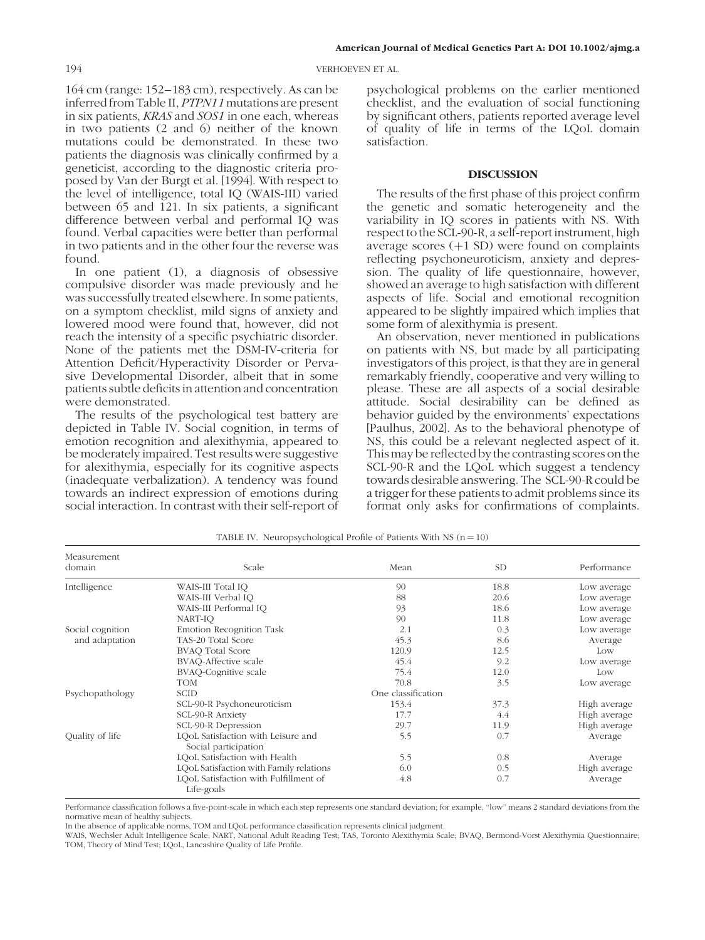194 VERHOEVEN ET AL.

164 cm (range: 152–183 cm), respectively. As can be inferred from Table II, PTPN11 mutations are present in six patients, KRAS and SOS1 in one each, whereas in two patients (2 and 6) neither of the known mutations could be demonstrated. In these two patients the diagnosis was clinically confirmed by a geneticist, according to the diagnostic criteria proposed by Van der Burgt et al. [1994]. With respect to the level of intelligence, total IQ (WAIS-III) varied between 65 and 121. In six patients, a significant difference between verbal and performal IQ was found. Verbal capacities were better than performal in two patients and in the other four the reverse was found.

In one patient (1), a diagnosis of obsessive compulsive disorder was made previously and he was successfully treated elsewhere.In some patients, on a symptom checklist, mild signs of anxiety and lowered mood were found that, however, did not reach the intensity of a specific psychiatric disorder. None of the patients met the DSM-IV-criteria for Attention Deficit/Hyperactivity Disorder or Pervasive Developmental Disorder, albeit that in some patients subtle deficits in attention and concentration were demonstrated.

The results of the psychological test battery are depicted in Table IV. Social cognition, in terms of emotion recognition and alexithymia, appeared to be moderately impaired. Test results were suggestive for alexithymia, especially for its cognitive aspects (inadequate verbalization). A tendency was found towards an indirect expression of emotions during social interaction. In contrast with their self-report of

psychological problems on the earlier mentioned checklist, and the evaluation of social functioning by significant others, patients reported average level of quality of life in terms of the LQoL domain satisfaction.

### **DISCUSSION**

The results of the first phase of this project confirm the genetic and somatic heterogeneity and the variability in IQ scores in patients with NS. With respect to the SCL-90-R, a self-report instrument, high average scores  $(+1 S)$  were found on complaints reflecting psychoneuroticism, anxiety and depression. The quality of life questionnaire, however, showed an average to high satisfaction with different aspects of life. Social and emotional recognition appeared to be slightly impaired which implies that some form of alexithymia is present.

An observation, never mentioned in publications on patients with NS, but made by all participating investigators of this project, is that they are in general remarkably friendly, cooperative and very willing to please. These are all aspects of a social desirable attitude. Social desirability can be defined as behavior guided by the environments' expectations [Paulhus, 2002]. As to the behavioral phenotype of NS, this could be a relevant neglected aspect of it. This may be reflected by the contrasting scores on the SCL-90-R and the LQoL which suggest a tendency towards desirable answering. The SCL-90-R could be a trigger for these patients to admit problems since its format only asks for confirmations of complaints.

| Measurement<br>domain | Scale                                                      | Mean               | SD <sub></sub> | Performance  |
|-----------------------|------------------------------------------------------------|--------------------|----------------|--------------|
| Intelligence          | WAIS-III Total IO                                          | 90                 | 18.8           | Low average  |
|                       | WAIS-III Verbal IO                                         | 88                 | 20.6           | Low average  |
|                       | WAIS-III Performal IQ                                      | 93                 | 18.6           | Low average  |
|                       | NART-IO                                                    | 90                 | 11.8           | Low average  |
| Social cognition      | <b>Emotion Recognition Task</b>                            | 2.1                | 0.3            | Low average  |
| and adaptation        | TAS-20 Total Score                                         | 45.3               | 8.6            | Average      |
|                       | <b>BVAQ Total Score</b>                                    | 120.9              | 12.5           | Low          |
|                       | <b>BVAQ-Affective scale</b>                                | 45.4               | 9.2            | Low average  |
|                       | <b>BVAQ-Cognitive scale</b>                                | 75.4               | 12.0           | Low          |
|                       | <b>TOM</b>                                                 | 70.8               | 3.5            | Low average  |
| Psychopathology       | <b>SCID</b>                                                | One classification |                |              |
|                       | SCL-90-R Psychoneuroticism                                 | 153.4              | 37.3           | High average |
|                       | SCL-90-R Anxiety                                           | 17.7               | 4.4            | High average |
|                       | SCL-90-R Depression                                        | 29.7               | 11.9           | High average |
| Quality of life       | LQoL Satisfaction with Leisure and<br>Social participation | 5.5                | 0.7            | Average      |
|                       | LQoL Satisfaction with Health                              | 5.5                | 0.8            | Average      |
|                       | LQoL Satisfaction with Family relations                    | 6.0                | 0.5            | High average |
|                       | LQoL Satisfaction with Fulfillment of<br>Life-goals        | 4.8                | 0.7            | Average      |

TABLE IV. Neuropsychological Profile of Patients With NS  $(n = 10)$ 

Performance classification follows a five-point-scale in which each step represents one standard deviation; for example, ''low'' means 2 standard deviations from the normative mean of healthy subjects.

In the absence of applicable norms, TOM and LQoL performance classification represents clinical judgment.

WAIS, Wechsler Adult Intelligence Scale; NART, National Adult Reading Test; TAS, Toronto Alexithymia Scale; BVAQ, Bermond-Vorst Alexithymia Questionnaire; TOM, Theory of Mind Test; LQoL, Lancashire Quality of Life Profile.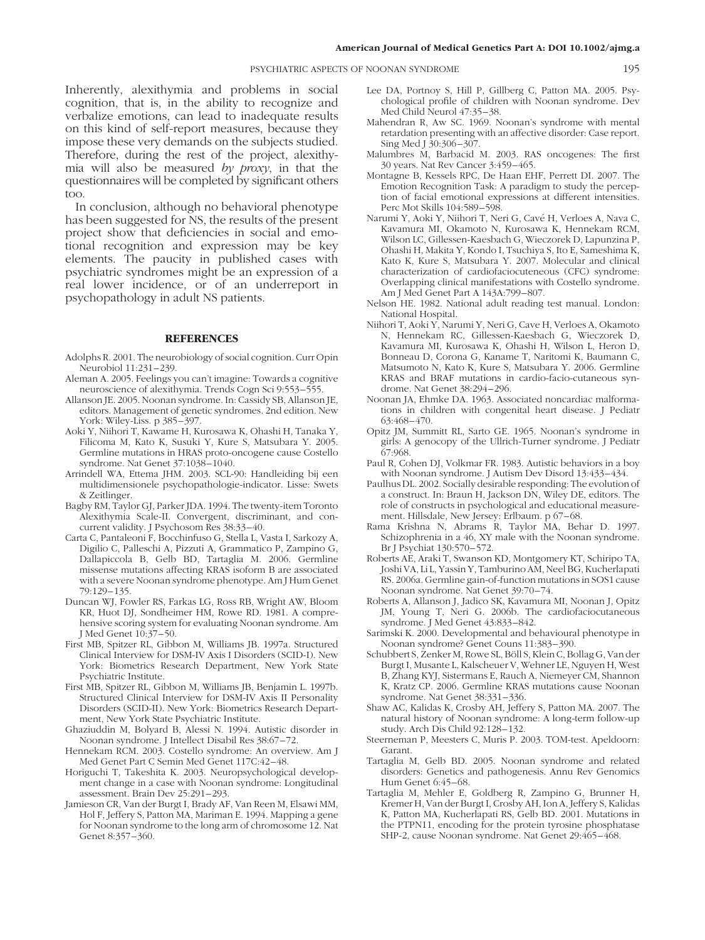#### PSYCHIATRIC ASPECTS OF NOONAN SYNDROME 195

Inherently, alexithymia and problems in social cognition, that is, in the ability to recognize and verbalize emotions, can lead to inadequate results on this kind of self-report measures, because they impose these very demands on the subjects studied. Therefore, during the rest of the project, alexithymia will also be measured by proxy, in that the questionnaires will be completed by significant others too.

In conclusion, although no behavioral phenotype has been suggested for NS, the results of the present project show that deficiencies in social and emotional recognition and expression may be key elements. The paucity in published cases with psychiatric syndromes might be an expression of a real lower incidence, or of an underreport in psychopathology in adult NS patients.

## **REFERENCES**

- Adolphs R. 2001. The neurobiology of social cognition. Curr Opin Neurobiol 11:231–239.
- Aleman A. 2005. Feelings you can't imagine: Towards a cognitive neuroscience of alexithymia. Trends Cogn Sci 9:553–555.
- Allanson JE. 2005. Noonan syndrome. In: Cassidy SB, Allanson JE, editors. Management of genetic syndromes. 2nd edition. New York: Wiley-Liss. p 385–397.
- Aoki Y, Niihori T, Kawame H, Kurosawa K, Ohashi H, Tanaka Y, Filicoma M, Kato K, Susuki Y, Kure S, Matsubara Y. 2005. Germline mutations in HRAS proto-oncogene cause Costello syndrome. Nat Genet 37:1038–1040.
- Arrindell WA, Ettema JHM. 2003. SCL-90: Handleiding bij een multidimensionele psychopathologie-indicator. Lisse: Swets & Zeitlinger.
- Bagby RM, Taylor GJ, Parker JDA. 1994. The twenty-item Toronto Alexithymia Scale-II. Convergent, discriminant, and concurrent validity. J Psychosom Res 38:33–40.
- Carta C, Pantaleoni F, Bocchinfuso G, Stella L, Vasta I, Sarkozy A, Digilio C, Palleschi A, Pizzuti A, Grammatico P, Zampino G, Dallapiccola B, Gelb BD, Tartaglia M. 2006. Germline missense mutations affecting KRAS isoform B are associated with a severe Noonan syndrome phenotype. Am J Hum Genet 79:129–135.
- Duncan WJ, Fowler RS, Farkas LG, Ross RB, Wright AW, Bloom KR, Huot DJ, Sondheimer HM, Rowe RD. 1981. A comprehensive scoring system for evaluating Noonan syndrome. Am J Med Genet 10:37–50.
- First MB, Spitzer RL, Gibbon M, Williams JB. 1997a. Structured Clinical Interview for DSM-IV Axis I Disorders (SCID-I). New York: Biometrics Research Department, New York State Psychiatric Institute.
- First MB, Spitzer RL, Gibbon M, Williams JB, Benjamin L. 1997b. Structured Clinical Interview for DSM-IV Axis II Personality Disorders (SCID-II). New York: Biometrics Research Department, New York State Psychiatric Institute.
- Ghaziuddin M, Bolyard B, Alessi N. 1994. Autistic disorder in Noonan syndrome. J Intellect Disabil Res 38:67–72.
- Hennekam RCM. 2003. Costello syndrome: An overview. Am J Med Genet Part C Semin Med Genet 117C:42–48.
- Horiguchi T, Takeshita K. 2003. Neuropsychological development change in a case with Noonan syndrome: Longitudinal assessment. Brain Dev 25:291–293.
- Jamieson CR, Van der Burgt I, Brady AF, Van Reen M, Elsawi MM, Hol F, Jeffery S, Patton MA, Mariman E. 1994. Mapping a gene for Noonan syndrome to the long arm of chromosome 12. Nat Genet 8:357–360.
- Lee DA, Portnoy S, Hill P, Gillberg C, Patton MA. 2005. Psychological profile of children with Noonan syndrome. Dev Med Child Neurol 47:35–38.
- Mahendran R, Aw SC. 1969. Noonan's syndrome with mental retardation presenting with an affective disorder: Case report. Sing Med J 30:306–307.
- Malumbres M, Barbacid M. 2003. RAS oncogenes: The first 30 years. Nat Rev Cancer 3:459–465.
- Montagne B, Kessels RPC, De Haan EHF, Perrett DI. 2007. The Emotion Recognition Task: A paradigm to study the perception of facial emotional expressions at different intensities. Perc Mot Skills 104:589–598.
- Narumi Y, Aoki Y, Niihori T, Neri G, Cavé H, Verloes A, Nava C, Kavamura MI, Okamoto N, Kurosawa K, Hennekam RCM, Wilson LC, Gillessen-Kaesbach G, Wieczorek D, Lapunzina P, Ohashi H, Makita Y, Kondo I, Tsuchiya S, Ito E, Sameshima K, Kato K, Kure S, Matsubara Y. 2007. Molecular and clinical characterization of cardiofaciocuteneous (CFC) syndrome: Overlapping clinical manifestations with Costello syndrome. Am J Med Genet Part A 143A:799–807.
- Nelson HE. 1982. National adult reading test manual. London: National Hospital.
- Niihori T, Aoki Y, Narumi Y, Neri G, Cave H, Verloes A, Okamoto N, Hennekam RC, Gillessen-Kaesbach G, Wieczorek D, Kavamura MI, Kurosawa K, Ohashi H, Wilson L, Heron D, Bonneau D, Corona G, Kaname T, Naritomi K, Baumann C, Matsumoto N, Kato K, Kure S, Matsubara Y. 2006. Germline KRAS and BRAF mutations in cardio-facio-cutaneous syndrome. Nat Genet 38:294–296.
- Noonan JA, Ehmke DA. 1963. Associated noncardiac malformations in children with congenital heart disease. J Pediatr 63:468–470.
- Opitz JM, Summitt RL, Sarto GE. 1965. Noonan's syndrome in girls: A genocopy of the Ullrich-Turner syndrome. J Pediatr 67:968.
- Paul R, Cohen DJ, Volkmar FR. 1983. Autistic behaviors in a boy with Noonan syndrome. J Autism Dev Disord 13:433–434.
- Paulhus DL. 2002. Socially desirable responding: The evolution of a construct. In: Braun H, Jackson DN, Wiley DE, editors. The role of constructs in psychological and educational measurement. Hillsdale, New Jersey: Erlbaum. p 67–68.
- Rama Krishna N, Abrams R, Taylor MA, Behar D. 1997. Schizophrenia in a 46, XY male with the Noonan syndrome. Br J Psychiat 130:570–572.
- Roberts AE, Araki T, Swanson KD, Montgomery KT, Schiripo TA, JoshiVA,LiL,YassinY,TamburinoAM,NeelBG,Kucherlapati RS. 2006a.Germline gain-of-function mutations in SOS1 cause Noonan syndrome. Nat Genet 39:70–74.
- Roberts A, Allanson J, Jadico SK, Kavamura MI, Noonan J, Opitz JM, Young T, Neri G. 2006b. The cardiofaciocutaneous syndrome. J Med Genet 43:833–842.
- Sarimski K. 2000. Developmental and behavioural phenotype in Noonan syndrome? Genet Couns 11:383–390.
- Schubbert S, Zenker M, Rowe SL, Böll S, Klein C, Bollag G, Van der Burgt I, Musante L, Kalscheuer V, Wehner LE, Nguyen H, West B, Zhang KYJ, Sistermans E, Rauch A, Niemeyer CM, Shannon K, Kratz CP. 2006. Germline KRAS mutations cause Noonan syndrome. Nat Genet 38:331–336.
- Shaw AC, Kalidas K, Crosby AH, Jeffery S, Patton MA. 2007. The natural history of Noonan syndrome: A long-term follow-up study. Arch Dis Child 92:128–132.
- Steerneman P, Meesters C, Muris P. 2003. TOM-test. Apeldoorn: Garant.
- Tartaglia M, Gelb BD. 2005. Noonan syndrome and related disorders: Genetics and pathogenesis. Annu Rev Genomics Hum Genet 6:45–68.
- Tartaglia M, Mehler E, Goldberg R, Zampino G, Brunner H, Kremer H, Van der Burgt I, Crosby AH, Ion A, Jeffery S, Kalidas K, Patton MA, Kucherlapati RS, Gelb BD. 2001. Mutations in the PTPN11, encoding for the protein tyrosine phosphatase SHP-2, cause Noonan syndrome. Nat Genet 29:465–468.